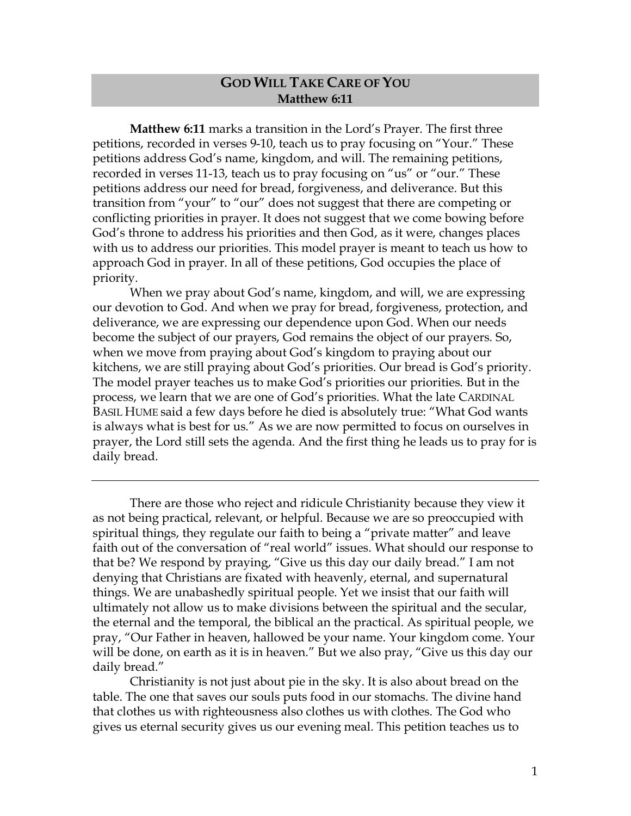# **GOD WILL TAKE CARE OF YOU Matthew 6:11**

**Matthew 6:11** marks a transition in the Lord's Prayer. The first three petitions, recorded in verses 9-10, teach us to pray focusing on "Your." These petitions address God's name, kingdom, and will. The remaining petitions, recorded in verses 11-13, teach us to pray focusing on "us" or "our." These petitions address our need for bread, forgiveness, and deliverance. But this transition from "your" to "our" does not suggest that there are competing or conflicting priorities in prayer. It does not suggest that we come bowing before God's throne to address his priorities and then God, as it were, changes places with us to address our priorities. This model prayer is meant to teach us how to approach God in prayer. In all of these petitions, God occupies the place of priority.

When we pray about God's name, kingdom, and will, we are expressing our devotion to God. And when we pray for bread, forgiveness, protection, and deliverance, we are expressing our dependence upon God. When our needs become the subject of our prayers, God remains the object of our prayers. So, when we move from praying about God's kingdom to praying about our kitchens, we are still praying about God's priorities. Our bread is God's priority. The model prayer teaches us to make God's priorities our priorities. But in the process, we learn that we are one of God's priorities. What the late CARDINAL BASIL HUME said a few days before he died is absolutely true: "What God wants is always what is best for us." As we are now permitted to focus on ourselves in prayer, the Lord still sets the agenda. And the first thing he leads us to pray for is daily bread.

There are those who reject and ridicule Christianity because they view it as not being practical, relevant, or helpful. Because we are so preoccupied with spiritual things, they regulate our faith to being a "private matter" and leave faith out of the conversation of "real world" issues. What should our response to that be? We respond by praying, "Give us this day our daily bread." I am not denying that Christians are fixated with heavenly, eternal, and supernatural things. We are unabashedly spiritual people. Yet we insist that our faith will ultimately not allow us to make divisions between the spiritual and the secular, the eternal and the temporal, the biblical an the practical. As spiritual people, we pray, "Our Father in heaven, hallowed be your name. Your kingdom come. Your will be done, on earth as it is in heaven." But we also pray, "Give us this day our daily bread."

Christianity is not just about pie in the sky. It is also about bread on the table. The one that saves our souls puts food in our stomachs. The divine hand that clothes us with righteousness also clothes us with clothes. The God who gives us eternal security gives us our evening meal. This petition teaches us to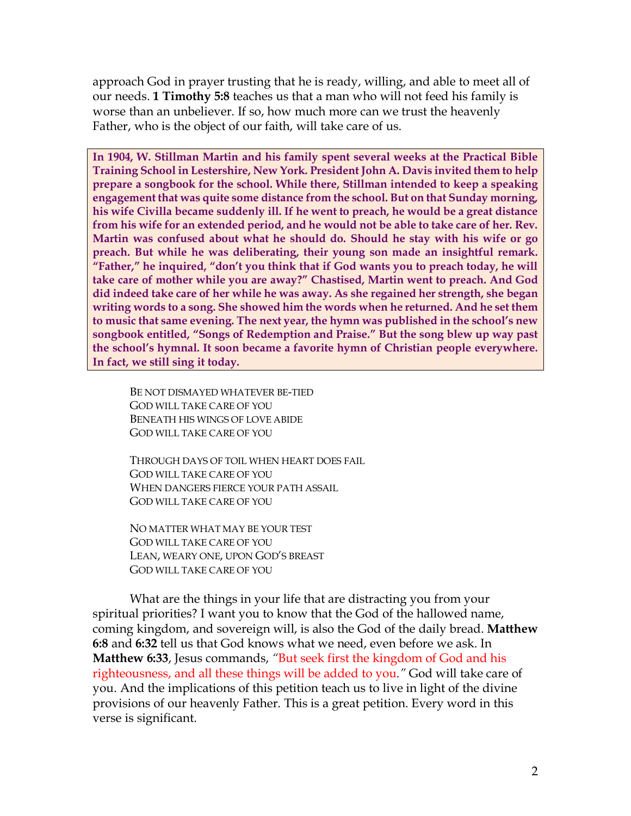approach God in prayer trusting that he is ready, willing, and able to meet all of our needs. **1 Timothy 5:8** teaches us that a man who will not feed his family is worse than an unbeliever. If so, how much more can we trust the heavenly Father, who is the object of our faith, will take care of us.

**In 1904, W. Stillman Martin and his family spent several weeks at the Practical Bible Training School in Lestershire, New York. President John A. Davis invited them to help prepare a songbook for the school. While there, Stillman intended to keep a speaking engagement that was quite some distance from the school. But on that Sunday morning, his wife Civilla became suddenly ill. If he went to preach, he would be a great distance from his wife for an extended period, and he would not be able to take care of her. Rev. Martin was confused about what he should do. Should he stay with his wife or go preach. But while he was deliberating, their young son made an insightful remark. "Father," he inquired, "don't you think that if God wants you to preach today, he will take care of mother while you are away?" Chastised, Martin went to preach. And God did indeed take care of her while he was away. As she regained her strength, she began writing words to a song. She showed him the words when he returned. And he set them to music that same evening. The next year, the hymn was published in the school's new songbook entitled, "Songs of Redemption and Praise." But the song blew up way past the school's hymnal. It soon became a favorite hymn of Christian people everywhere. In fact, we still sing it today.** 

BE NOT DISMAYED WHATEVER BE-TIED GOD WILL TAKE CARE OF YOU BENEATH HIS WINGS OF LOVE ABIDE GOD WILL TAKE CARE OF YOU

THROUGH DAYS OF TOIL WHEN HEART DOES FAIL GOD WILL TAKE CARE OF YOU WHEN DANGERS FIERCE YOUR PATH ASSAIL GOD WILL TAKE CARE OF YOU

NO MATTER WHAT MAY BE YOUR TEST GOD WILL TAKE CARE OF YOU LEAN, WEARY ONE, UPON GOD'S BREAST GOD WILL TAKE CARE OF YOU

What are the things in your life that are distracting you from your spiritual priorities? I want you to know that the God of the hallowed name, coming kingdom, and sovereign will, is also the God of the daily bread. **Matthew 6:8** and **6:32** tell us that God knows what we need, even before we ask. In **Matthew 6:33**, Jesus commands, *"*But seek first the kingdom of God and his righteousness, and all these things will be added to you*."* God will take care of you. And the implications of this petition teach us to live in light of the divine provisions of our heavenly Father. This is a great petition. Every word in this verse is significant.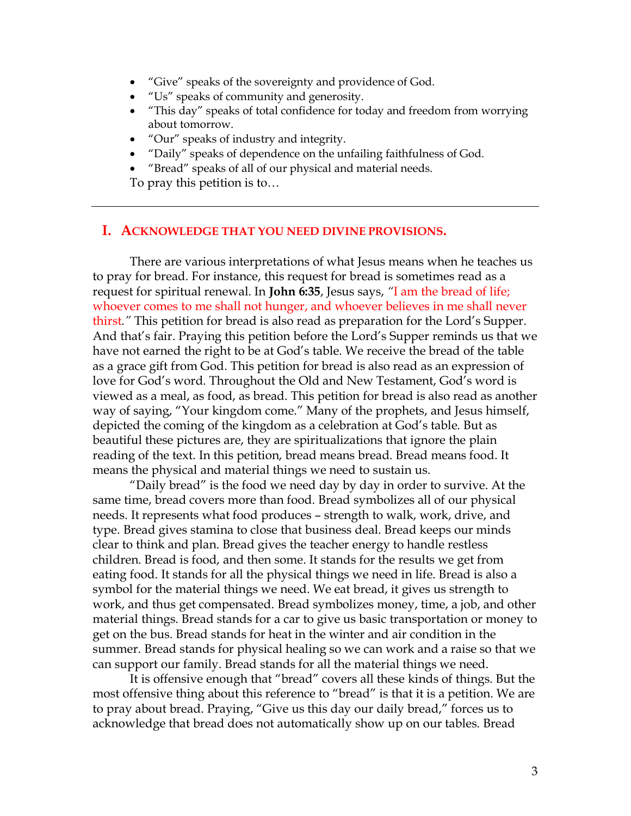- "Give" speaks of the sovereignty and providence of God.
- "Us" speaks of community and generosity.
- "This day" speaks of total confidence for today and freedom from worrying about tomorrow.
- "Our" speaks of industry and integrity.
- "Daily" speaks of dependence on the unfailing faithfulness of God.
- "Bread" speaks of all of our physical and material needs.

To pray this petition is to…

### **I. ACKNOWLEDGE THAT YOU NEED DIVINE PROVISIONS.**

There are various interpretations of what Jesus means when he teaches us to pray for bread. For instance, this request for bread is sometimes read as a request for spiritual renewal. In **John 6:35**, Jesus says, *"*I am the bread of life; whoever comes to me shall not hunger, and whoever believes in me shall never thirst*."* This petition for bread is also read as preparation for the Lord's Supper. And that's fair. Praying this petition before the Lord's Supper reminds us that we have not earned the right to be at God's table. We receive the bread of the table as a grace gift from God. This petition for bread is also read as an expression of love for God's word. Throughout the Old and New Testament, God's word is viewed as a meal, as food, as bread. This petition for bread is also read as another way of saying, "Your kingdom come." Many of the prophets, and Jesus himself, depicted the coming of the kingdom as a celebration at God's table. But as beautiful these pictures are, they are spiritualizations that ignore the plain reading of the text. In this petition, bread means bread. Bread means food. It means the physical and material things we need to sustain us.

"Daily bread" is the food we need day by day in order to survive. At the same time, bread covers more than food. Bread symbolizes all of our physical needs. It represents what food produces – strength to walk, work, drive, and type. Bread gives stamina to close that business deal. Bread keeps our minds clear to think and plan. Bread gives the teacher energy to handle restless children. Bread is food, and then some. It stands for the results we get from eating food. It stands for all the physical things we need in life. Bread is also a symbol for the material things we need. We eat bread, it gives us strength to work, and thus get compensated. Bread symbolizes money, time, a job, and other material things. Bread stands for a car to give us basic transportation or money to get on the bus. Bread stands for heat in the winter and air condition in the summer. Bread stands for physical healing so we can work and a raise so that we can support our family. Bread stands for all the material things we need.

It is offensive enough that "bread" covers all these kinds of things. But the most offensive thing about this reference to "bread" is that it is a petition. We are to pray about bread. Praying, "Give us this day our daily bread," forces us to acknowledge that bread does not automatically show up on our tables. Bread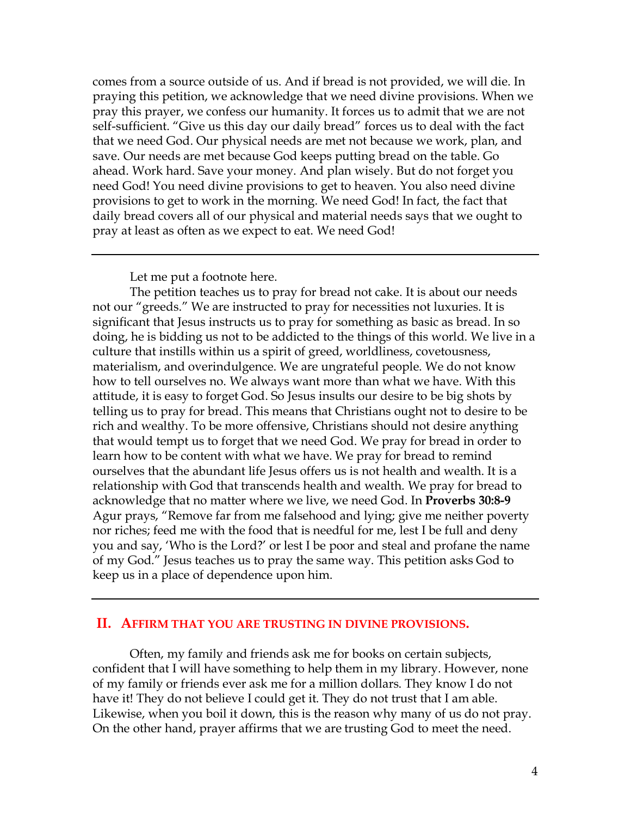comes from a source outside of us. And if bread is not provided, we will die. In praying this petition, we acknowledge that we need divine provisions. When we pray this prayer, we confess our humanity. It forces us to admit that we are not self-sufficient. "Give us this day our daily bread" forces us to deal with the fact that we need God. Our physical needs are met not because we work, plan, and save. Our needs are met because God keeps putting bread on the table. Go ahead. Work hard. Save your money. And plan wisely. But do not forget you need God! You need divine provisions to get to heaven. You also need divine provisions to get to work in the morning. We need God! In fact, the fact that daily bread covers all of our physical and material needs says that we ought to pray at least as often as we expect to eat. We need God!

Let me put a footnote here.

The petition teaches us to pray for bread not cake. It is about our needs not our "greeds." We are instructed to pray for necessities not luxuries. It is significant that Jesus instructs us to pray for something as basic as bread. In so doing, he is bidding us not to be addicted to the things of this world. We live in a culture that instills within us a spirit of greed, worldliness, covetousness, materialism, and overindulgence. We are ungrateful people. We do not know how to tell ourselves no. We always want more than what we have. With this attitude, it is easy to forget God. So Jesus insults our desire to be big shots by telling us to pray for bread. This means that Christians ought not to desire to be rich and wealthy. To be more offensive, Christians should not desire anything that would tempt us to forget that we need God. We pray for bread in order to learn how to be content with what we have. We pray for bread to remind ourselves that the abundant life Jesus offers us is not health and wealth. It is a relationship with God that transcends health and wealth. We pray for bread to acknowledge that no matter where we live, we need God. In **Proverbs 30:8-9** Agur prays, "Remove far from me falsehood and lying; give me neither poverty nor riches; feed me with the food that is needful for me, lest I be full and deny you and say, 'Who is the Lord?' or lest I be poor and steal and profane the name of my God." Jesus teaches us to pray the same way. This petition asks God to keep us in a place of dependence upon him.

### **II. AFFIRM THAT YOU ARE TRUSTING IN DIVINE PROVISIONS.**

Often, my family and friends ask me for books on certain subjects, confident that I will have something to help them in my library. However, none of my family or friends ever ask me for a million dollars. They know I do not have it! They do not believe I could get it. They do not trust that I am able. Likewise, when you boil it down, this is the reason why many of us do not pray. On the other hand, prayer affirms that we are trusting God to meet the need.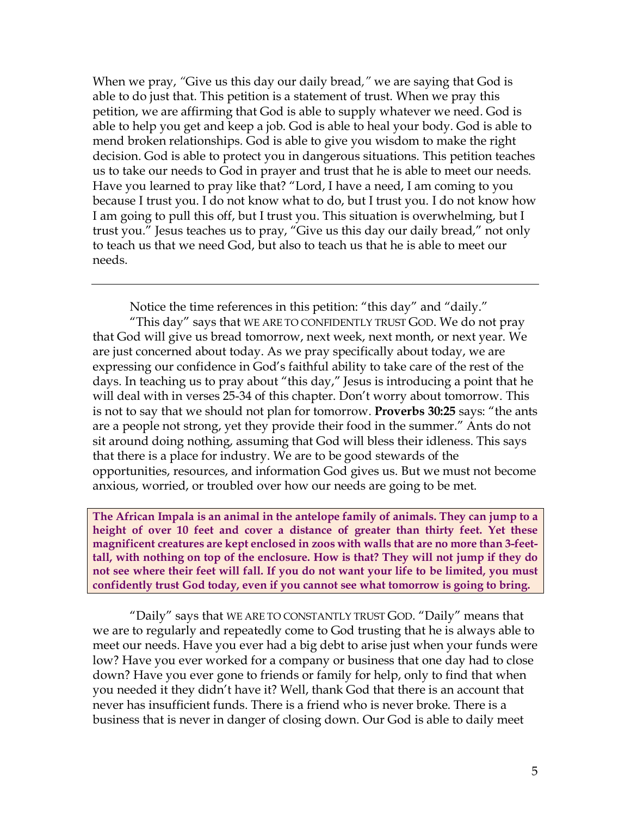When we pray, *"*Give us this day our daily bread*,"* we are saying that God is able to do just that. This petition is a statement of trust. When we pray this petition, we are affirming that God is able to supply whatever we need. God is able to help you get and keep a job. God is able to heal your body. God is able to mend broken relationships. God is able to give you wisdom to make the right decision. God is able to protect you in dangerous situations. This petition teaches us to take our needs to God in prayer and trust that he is able to meet our needs. Have you learned to pray like that? "Lord, I have a need, I am coming to you because I trust you. I do not know what to do, but I trust you. I do not know how I am going to pull this off, but I trust you. This situation is overwhelming, but I trust you." Jesus teaches us to pray, "Give us this day our daily bread," not only to teach us that we need God, but also to teach us that he is able to meet our needs.

Notice the time references in this petition: "this day" and "daily." "This day" says that WE ARE TO CONFIDENTLY TRUST GOD. We do not pray

that God will give us bread tomorrow, next week, next month, or next year. We are just concerned about today. As we pray specifically about today, we are expressing our confidence in God's faithful ability to take care of the rest of the days. In teaching us to pray about "this day," Jesus is introducing a point that he will deal with in verses 25-34 of this chapter. Don't worry about tomorrow. This is not to say that we should not plan for tomorrow. **Proverbs 30:25** says: "the ants are a people not strong, yet they provide their food in the summer." Ants do not sit around doing nothing, assuming that God will bless their idleness. This says that there is a place for industry. We are to be good stewards of the opportunities, resources, and information God gives us. But we must not become anxious, worried, or troubled over how our needs are going to be met.

**The African Impala is an animal in the antelope family of animals. They can jump to a height of over 10 feet and cover a distance of greater than thirty feet. Yet these magnificent creatures are kept enclosed in zoos with walls that are no more than 3-feettall, with nothing on top of the enclosure. How is that? They will not jump if they do not see where their feet will fall. If you do not want your life to be limited, you must confidently trust God today, even if you cannot see what tomorrow is going to bring.** 

"Daily" says that WE ARE TO CONSTANTLY TRUST GOD. "Daily" means that we are to regularly and repeatedly come to God trusting that he is always able to meet our needs. Have you ever had a big debt to arise just when your funds were low? Have you ever worked for a company or business that one day had to close down? Have you ever gone to friends or family for help, only to find that when you needed it they didn't have it? Well, thank God that there is an account that never has insufficient funds. There is a friend who is never broke. There is a business that is never in danger of closing down. Our God is able to daily meet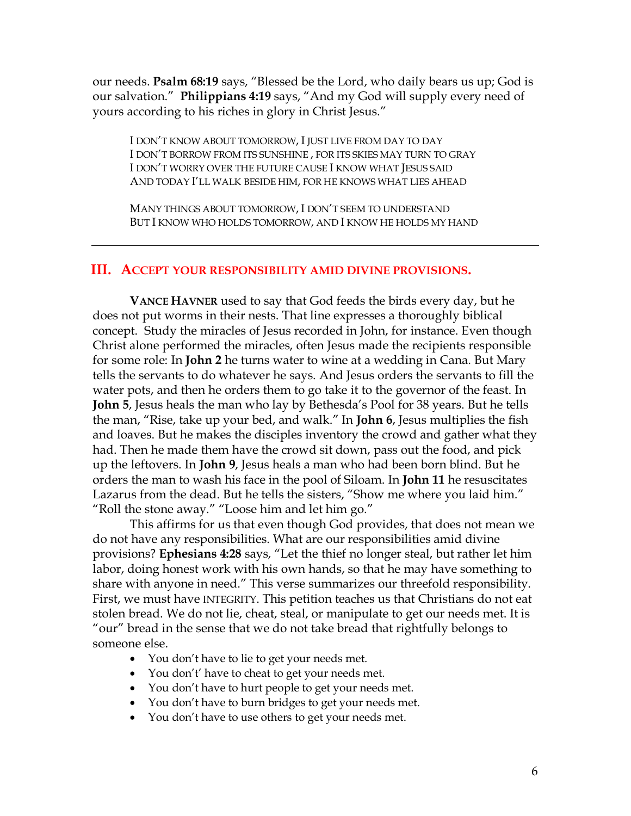our needs. **Psalm 68:19** says, "Blessed be the Lord, who daily bears us up; God is our salvation." **Philippians 4:19** says, "And my God will supply every need of yours according to his riches in glory in Christ Jesus."

I DON'T KNOW ABOUT TOMORROW, I JUST LIVE FROM DAY TO DAY I DON'T BORROW FROM ITS SUNSHINE , FOR ITS SKIES MAY TURN TO GRAY I DON'T WORRY OVER THE FUTURE CAUSE I KNOW WHAT JESUS SAID AND TODAY I'LL WALK BESIDE HIM, FOR HE KNOWS WHAT LIES AHEAD

MANY THINGS ABOUT TOMORROW, I DON'T SEEM TO UNDERSTAND BUT I KNOW WHO HOLDS TOMORROW, AND I KNOW HE HOLDS MY HAND

### **III. ACCEPT YOUR RESPONSIBILITY AMID DIVINE PROVISIONS.**

**VANCE HAVNER** used to say that God feeds the birds every day, but he does not put worms in their nests. That line expresses a thoroughly biblical concept. Study the miracles of Jesus recorded in John, for instance. Even though Christ alone performed the miracles, often Jesus made the recipients responsible for some role: In **John 2** he turns water to wine at a wedding in Cana. But Mary tells the servants to do whatever he says. And Jesus orders the servants to fill the water pots, and then he orders them to go take it to the governor of the feast. In **John 5**, Jesus heals the man who lay by Bethesda's Pool for 38 years. But he tells the man, "Rise, take up your bed, and walk." In **John 6**, Jesus multiplies the fish and loaves. But he makes the disciples inventory the crowd and gather what they had. Then he made them have the crowd sit down, pass out the food, and pick up the leftovers. In **John 9**, Jesus heals a man who had been born blind. But he orders the man to wash his face in the pool of Siloam. In **John 11** he resuscitates Lazarus from the dead. But he tells the sisters, "Show me where you laid him." "Roll the stone away." "Loose him and let him go."

This affirms for us that even though God provides, that does not mean we do not have any responsibilities. What are our responsibilities amid divine provisions? **Ephesians 4:28** says, "Let the thief no longer steal, but rather let him labor, doing honest work with his own hands, so that he may have something to share with anyone in need." This verse summarizes our threefold responsibility. First, we must have INTEGRITY. This petition teaches us that Christians do not eat stolen bread. We do not lie, cheat, steal, or manipulate to get our needs met. It is "our" bread in the sense that we do not take bread that rightfully belongs to someone else.

- You don't have to lie to get your needs met.
- You don't' have to cheat to get your needs met.
- You don't have to hurt people to get your needs met.
- You don't have to burn bridges to get your needs met.
- You don't have to use others to get your needs met.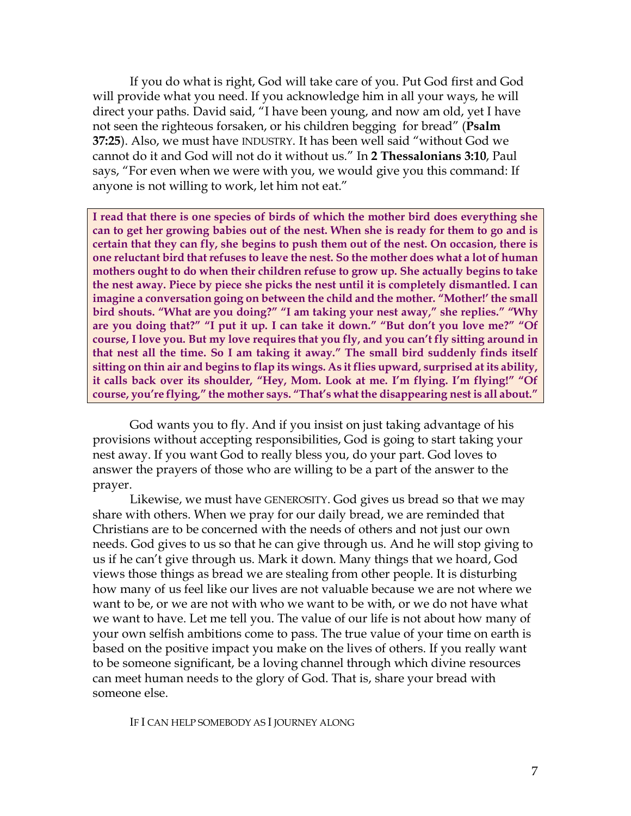If you do what is right, God will take care of you. Put God first and God will provide what you need. If you acknowledge him in all your ways, he will direct your paths. David said, "I have been young, and now am old, yet I have not seen the righteous forsaken, or his children begging for bread" (**Psalm 37:25**). Also, we must have INDUSTRY. It has been well said "without God we cannot do it and God will not do it without us." In **2 Thessalonians 3:10**, Paul says, "For even when we were with you, we would give you this command: If anyone is not willing to work, let him not eat."

**I read that there is one species of birds of which the mother bird does everything she can to get her growing babies out of the nest. When she is ready for them to go and is certain that they can fly, she begins to push them out of the nest. On occasion, there is one reluctant bird that refuses to leave the nest. So the mother does what a lot of human mothers ought to do when their children refuse to grow up. She actually begins to take the nest away. Piece by piece she picks the nest until it is completely dismantled. I can imagine a conversation going on between the child and the mother. "Mother!' the small bird shouts. "What are you doing?" "I am taking your nest away," she replies." "Why are you doing that?" "I put it up. I can take it down." "But don't you love me?" "Of course, I love you. But my love requires that you fly, and you can't fly sitting around in that nest all the time. So I am taking it away." The small bird suddenly finds itself sitting on thin air and begins to flap its wings. As it flies upward, surprised at its ability, it calls back over its shoulder, "Hey, Mom. Look at me. I'm flying. I'm flying!" "Of course, you're flying," the mother says. "That's what the disappearing nest is all about."** 

God wants you to fly. And if you insist on just taking advantage of his provisions without accepting responsibilities, God is going to start taking your nest away. If you want God to really bless you, do your part. God loves to answer the prayers of those who are willing to be a part of the answer to the prayer.

Likewise, we must have GENEROSITY. God gives us bread so that we may share with others. When we pray for our daily bread, we are reminded that Christians are to be concerned with the needs of others and not just our own needs. God gives to us so that he can give through us. And he will stop giving to us if he can't give through us. Mark it down. Many things that we hoard, God views those things as bread we are stealing from other people. It is disturbing how many of us feel like our lives are not valuable because we are not where we want to be, or we are not with who we want to be with, or we do not have what we want to have. Let me tell you. The value of our life is not about how many of your own selfish ambitions come to pass. The true value of your time on earth is based on the positive impact you make on the lives of others. If you really want to be someone significant, be a loving channel through which divine resources can meet human needs to the glory of God. That is, share your bread with someone else.

IF I CAN HELP SOMEBODY AS I JOURNEY ALONG